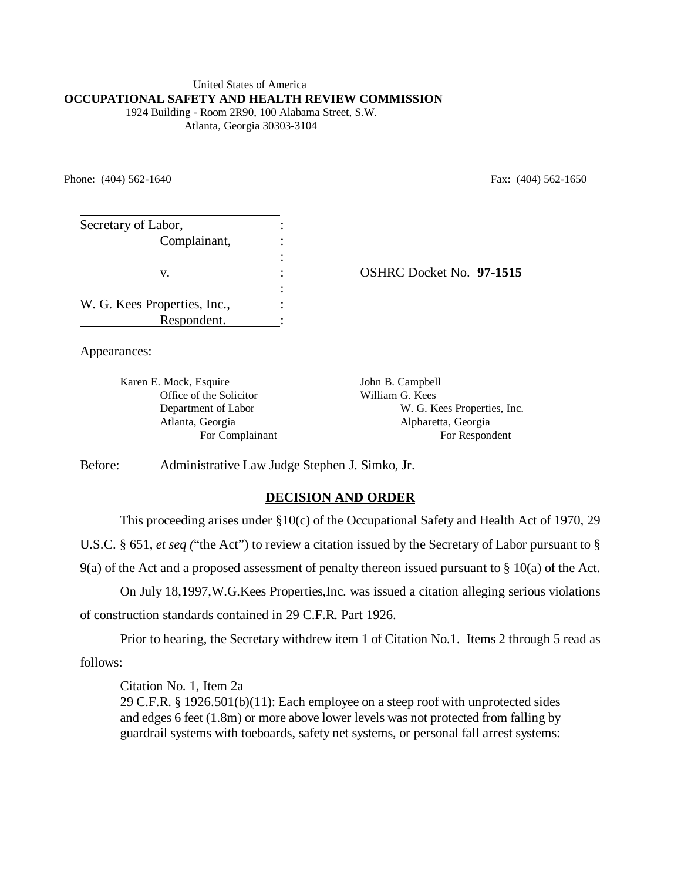#### United States of America **OCCUPATIONAL SAFETY AND HEALTH REVIEW COMMISSION**

 1924 Building - Room 2R90, 100 Alabama Street, S.W. Atlanta, Georgia 30303-3104

Phone: (404) 562-1640 Fax: (404) 562-1650

| Secretary of Labor,          |                          |
|------------------------------|--------------------------|
| Complainant,                 |                          |
|                              |                          |
| v.                           | OSHRC Docket No. 97-1515 |
|                              |                          |
| W. G. Kees Properties, Inc., |                          |
| Respondent.                  |                          |

Appearances:

Karen E. Mock, Esquire John B. Campbell Office of the Solicitor William G. Kees Department of Labor W. G. Kees Properties, Inc. Atlanta, Georgia Alpharetta, Georgia For Complainant For Respondent

Before: Administrative Law Judge Stephen J. Simko, Jr.

# **DECISION AND ORDER**

This proceeding arises under §10(c) of the Occupational Safety and Health Act of 1970, 29

U.S.C. § 651, *et seq (*"the Act") to review a citation issued by the Secretary of Labor pursuant to §

9(a) of the Act and a proposed assessment of penalty thereon issued pursuant to § 10(a) of the Act.

On July 18,1997,W.G.Kees Properties,Inc. was issued a citation alleging serious violations of construction standards contained in 29 C.F.R. Part 1926.

Prior to hearing, the Secretary withdrew item 1 of Citation No.1. Items 2 through 5 read as follows:

Citation No. 1, Item 2a

29 C.F.R. § 1926.501(b)(11): Each employee on a steep roof with unprotected sides and edges 6 feet (1.8m) or more above lower levels was not protected from falling by guardrail systems with toeboards, safety net systems, or personal fall arrest systems: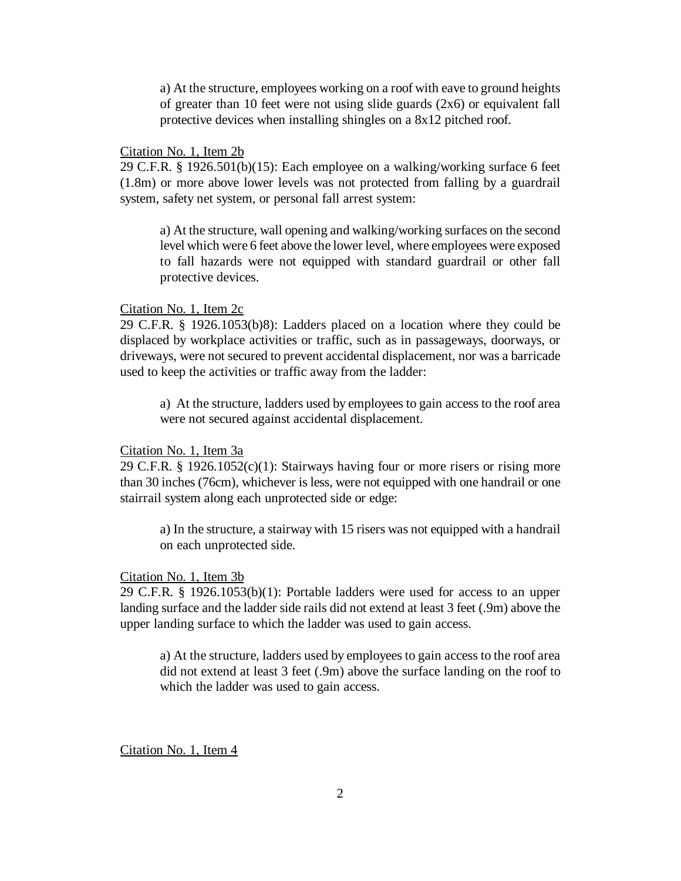a) At the structure, employees working on a roof with eave to ground heights of greater than 10 feet were not using slide guards (2x6) or equivalent fall protective devices when installing shingles on a 8x12 pitched roof.

## Citation No. 1, Item 2b

29 C.F.R. § 1926.501(b)(15): Each employee on a walking/working surface 6 feet (1.8m) or more above lower levels was not protected from falling by a guardrail system, safety net system, or personal fall arrest system:

a) At the structure, wall opening and walking/working surfaces on the second level which were 6 feet above the lower level, where employees were exposed to fall hazards were not equipped with standard guardrail or other fall protective devices.

#### Citation No. 1, Item 2c

29 C.F.R. § 1926.1053(b)8): Ladders placed on a location where they could be displaced by workplace activities or traffic, such as in passageways, doorways, or driveways, were not secured to prevent accidental displacement, nor was a barricade used to keep the activities or traffic away from the ladder:

a) At the structure, ladders used by employees to gain access to the roof area were not secured against accidental displacement.

Citation No. 1, Item 3a

29 C.F.R. § 1926.1052(c)(1): Stairways having four or more risers or rising more than 30 inches (76cm), whichever is less, were not equipped with one handrail or one stairrail system along each unprotected side or edge:

a) In the structure, a stairway with 15 risers was not equipped with a handrail on each unprotected side.

#### Citation No. 1, Item 3b

29 C.F.R. § 1926.1053(b)(1): Portable ladders were used for access to an upper landing surface and the ladder side rails did not extend at least 3 feet (.9m) above the upper landing surface to which the ladder was used to gain access.

a) At the structure, ladders used by employees to gain access to the roof area did not extend at least 3 feet (.9m) above the surface landing on the roof to which the ladder was used to gain access.

Citation No. 1, Item 4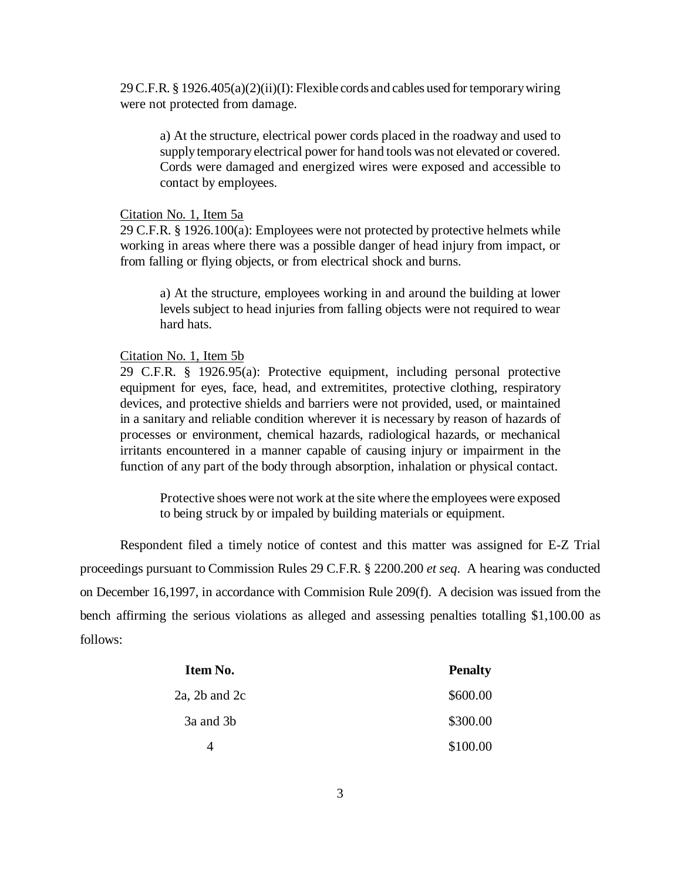29 C.F.R. § 1926.405(a)(2)(ii)(I): Flexible cords and cables used for temporary wiring were not protected from damage.

a) At the structure, electrical power cords placed in the roadway and used to supply temporary electrical power for hand tools was not elevated or covered. Cords were damaged and energized wires were exposed and accessible to contact by employees.

# Citation No. 1, Item 5a

29 C.F.R. § 1926.100(a): Employees were not protected by protective helmets while working in areas where there was a possible danger of head injury from impact, or from falling or flying objects, or from electrical shock and burns.

a) At the structure, employees working in and around the building at lower levels subject to head injuries from falling objects were not required to wear hard hats.

### Citation No. 1, Item 5b

29 C.F.R. § 1926.95(a): Protective equipment, including personal protective equipment for eyes, face, head, and extremitites, protective clothing, respiratory devices, and protective shields and barriers were not provided, used, or maintained in a sanitary and reliable condition wherever it is necessary by reason of hazards of processes or environment, chemical hazards, radiological hazards, or mechanical irritants encountered in a manner capable of causing injury or impairment in the function of any part of the body through absorption, inhalation or physical contact.

Protective shoes were not work at the site where the employees were exposed to being struck by or impaled by building materials or equipment.

Respondent filed a timely notice of contest and this matter was assigned for E-Z Trial proceedings pursuant to Commission Rules 29 C.F.R. § 2200.200 *et seq*. A hearing was conducted on December 16,1997, in accordance with Commision Rule 209(f). A decision was issued from the bench affirming the serious violations as alleged and assessing penalties totalling \$1,100.00 as follows:

| Item No.      | <b>Penalty</b> |
|---------------|----------------|
| 2a, 2b and 2c | \$600.00       |
| 3a and 3b     | \$300.00       |
| Δ             | \$100.00       |